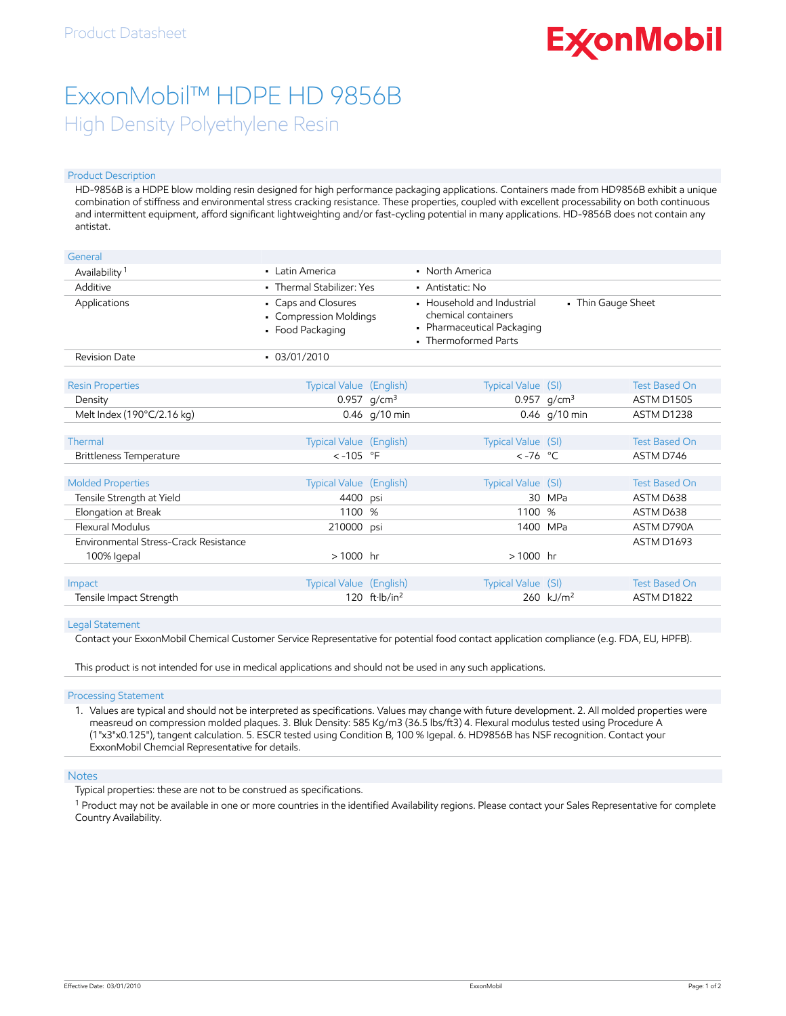# **ExconMobil**

# ExxonMobil™ HDPE HD 9856B High Density Polyethylene Resin

#### Product Description

HD-9856B is a HDPE blow molding resin designed for high performance packaging applications. Containers made from HD9856B exhibit a unique combination of stiffness and environmental stress cracking resistance. These properties, coupled with excellent processability on both continuous and intermittent equipment, afford significant lightweighting and/or fast-cycling potential in many applications. HD-9856B does not contain any antistat.

| General                                               |                                                                   |                 |                                                                                                         |                         |                                   |
|-------------------------------------------------------|-------------------------------------------------------------------|-----------------|---------------------------------------------------------------------------------------------------------|-------------------------|-----------------------------------|
| Availability <sup>1</sup>                             | • Latin America                                                   |                 | • North America                                                                                         |                         |                                   |
| Additive                                              | • Thermal Stabilizer: Yes                                         |                 | • Antistatic: No                                                                                        |                         |                                   |
| Applications                                          | • Caps and Closures<br>• Compression Moldings<br>• Food Packaging |                 | • Household and Industrial<br>chemical containers<br>• Pharmaceutical Packaging<br>• Thermoformed Parts | • Thin Gauge Sheet      |                                   |
| <b>Revision Date</b>                                  | $-03/01/2010$                                                     |                 |                                                                                                         |                         |                                   |
| <b>Resin Properties</b>                               | <b>Typical Value</b> (English)                                    |                 | Typical Value (SI)                                                                                      |                         | <b>Test Based On</b>              |
| Density                                               |                                                                   | 0.957 $g/cm^3$  |                                                                                                         | 0.957 $g/cm^3$          | <b>ASTM D1505</b>                 |
| Melt Index (190°C/2.16 kg)                            |                                                                   | $0.46$ g/10 min |                                                                                                         | 0.46 g/10 min           | ASTM D1238                        |
| Thermal                                               | Typical Value (English)                                           |                 | Typical Value (SI)                                                                                      |                         | <b>Test Based On</b>              |
| Brittleness Temperature                               | $< -105$ °F                                                       |                 | $\lt$ -76 °C                                                                                            |                         | ASTM D746                         |
| <b>Molded Properties</b><br>Tensile Strength at Yield | Typical Value (English)<br>4400                                   | psi             | Typical Value (SI)<br>30                                                                                | <b>MPa</b>              | <b>Test Based On</b><br>ASTM D638 |
| Elongation at Break                                   | 1100                                                              | %               | 1100 %                                                                                                  |                         | ASTM D638                         |
| <b>Flexural Modulus</b>                               | 210000                                                            | psi             | 1400 MPa                                                                                                |                         | ASTM D790A                        |
| Environmental Stress-Crack Resistance<br>100% Igepal  | $>1000$ hr                                                        |                 | $>1000$ hr                                                                                              |                         | ASTM D1693                        |
|                                                       |                                                                   |                 |                                                                                                         |                         |                                   |
| Impact                                                | Typical Value (English)                                           |                 | Typical Value (SI)                                                                                      |                         | <b>Test Based On</b>              |
| Tensile Impact Strength                               |                                                                   | 120 $ft·lb/in2$ |                                                                                                         | $260$ kJ/m <sup>2</sup> | ASTM D1822                        |

#### Legal Statement

Contact your ExxonMobil Chemical Customer Service Representative for potential food contact application compliance (e.g. FDA, EU, HPFB).

This product is not intended for use in medical applications and should not be used in any such applications.

Processing Statement

1. Values are typical and should not be interpreted as specifications. Values may change with future development. 2. All molded properties were measreud on compression molded plaques. 3. Bluk Density: 585 Kg/m3 (36.5 lbs/ft3) 4. Flexural modulus tested using Procedure A (1"x3"x0.125"), tangent calculation. 5. ESCR tested using Condition B, 100 % Igepal. 6. HD9856B has NSF recognition. Contact your ExxonMobil Chemcial Representative for details.

### Notes

Typical properties: these are not to be construed as specifications.

 $^1$  Product may not be available in one or more countries in the identified Availability regions. Please contact your Sales Representative for complete Country Availability.